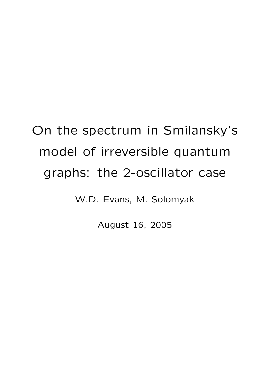# On the spectrum in Smilansky's model of irreversible quantum graphs: the 2-oscillator case

W.D. Evans, M. Solomyak

August 16, 2005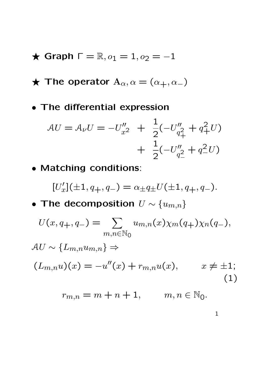- $\star$  Graph  $\Gamma = \mathbb{R}, o_1 = 1, o_2 = -1$
- $\star$  The operator  $A_{\alpha}, \alpha = (\alpha_{+}, \alpha_{-})$
- The differential expression

$$
\mathcal{A}U = \mathcal{A}_{\nu}U = -U''_{x^2} + \frac{1}{2}(-U''_{q^2_+} + q^2_+U) + \frac{1}{2}(-U''_{q^2_-} + q^2_-U)
$$

• Matching conditions:

$$
[U_x'](\pm 1, q_+, q_-) = \alpha_{\pm} q_{\pm} U(\pm 1, q_+, q_-).
$$

• The decomposition  $U \sim \{u_{m,n}\}$ 

$$
U(x, q_+, q_-) = \sum_{m,n \in \mathbb{N}_0} u_{m,n}(x) \chi_m(q_+) \chi_n(q_-),
$$
  
\n
$$
AU \sim \{L_{m,n} u_{m,n}\} \Rightarrow
$$
  
\n
$$
(L_{m,n}u)(x) = -u''(x) + r_{m,n}u(x), \qquad x \neq \pm 1;
$$
  
\n
$$
r_{m,n} = m + n + 1, \qquad m, n \in \mathbb{N}_0.
$$
\n(1)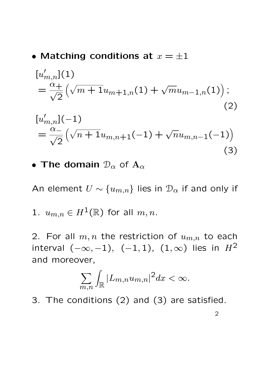#### • Matching conditions at  $x = \pm 1$

$$
[u'_{m,n}](1)
$$
  
=  $\frac{\alpha_+}{\sqrt{2}} \left( \sqrt{m+1} u_{m+1,n}(1) + \sqrt{m} u_{m-1,n}(1) \right);$   
(2)  

$$
[u'_{m,n}](-1)
$$
  
=  $\frac{\alpha_-}{\sqrt{2}} \left( \sqrt{n+1} u_{m,n+1}(-1) + \sqrt{n} u_{m,n-1}(-1) \right)$   
(3)

#### • The domain  $\mathcal{D}_{\alpha}$  of  $\mathbf{A}_{\alpha}$

An element  $U \sim \{u_{m,n}\}\$  lies in  $\mathcal{D}_{\alpha}$  if and only if

1. 
$$
u_{m,n} \in H^1(\mathbb{R})
$$
 for all  $m,n$ .

2. For all  $m, n$  the restriction of  $u_{m,n}$  to each interval  $(-\infty, -1)$ ,  $(-1, 1)$ ,  $(1, \infty)$  lies in  $H^2$ and moreover,

$$
\sum_{m,n}\int_{\mathbb{R}}|L_{m,n}u_{m,n}|^2dx<\infty.
$$

3. The conditions (2) and (3) are satisfied.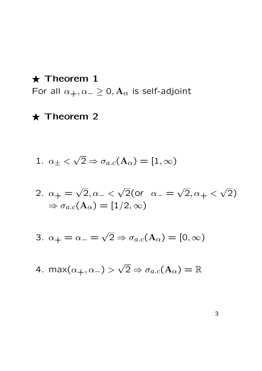$\star$  Theorem 1 For all  $\alpha_+, \alpha_-\geq 0$ ,  $\mathbf{A}_{\alpha}$  is self-adjoint

### $\star$  Theorem 2

1. 
$$
\alpha_{\pm} < \sqrt{2} \Rightarrow \sigma_{a.c}(\mathbf{A}_{\alpha}) = [1, \infty)
$$

2. 
$$
\alpha_+ = \sqrt{2}, \alpha_- < \sqrt{2}
$$
 (or  $\alpha_- = \sqrt{2}, \alpha_+ < \sqrt{2}$ )  
\n $\Rightarrow \sigma_{a.c}(\mathbf{A}_{\alpha}) = [1/2, \infty)$ 

3. 
$$
\alpha_+ = \alpha_- = \sqrt{2} \Rightarrow \sigma_{a.c}(\mathbf{A}_{\alpha}) = [0, \infty)
$$

4. max $(\alpha_+, \alpha_-) >$ √  $\overline{2} \Rightarrow \sigma_{a.c}(\mathrm{A}_\alpha) = \mathbb{R}$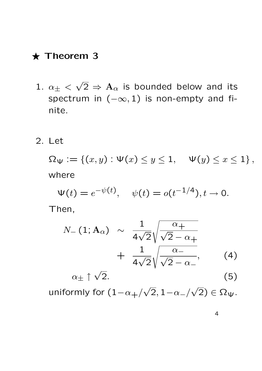#### $\star$  Theorem 3

- 1.  $\alpha_{\pm}$  < √  $\overline{2} \, \Rightarrow \, \mathrm{A}_{\alpha}$  is bounded below and its spectrum in  $(-\infty, 1)$  is non-empty and finite.
- 2. Let

 $\Omega_{\Psi} := \{ (x, y) : \Psi(x) \leq y \leq 1, \quad \Psi(y) \leq x \leq 1 \},$ where

 $\Psi(t) = e^{-\psi(t)}, \quad \psi(t) = o(t^{-1/4}), t \to 0.$ 

Then,

$$
N_{-}(1; A_{\alpha}) \sim \frac{1}{4\sqrt{2}} \sqrt{\frac{\alpha_{+}}{\sqrt{2} - \alpha_{+}}}
$$

$$
+ \frac{1}{4\sqrt{2}} \sqrt{\frac{\alpha_{-}}{\sqrt{2} - \alpha_{-}}}, \qquad (4)
$$

 $\alpha_+ \uparrow \sqrt{2}$ .  $2.$  (5) √ √

uniformly for  $(1{-}\alpha_+/$  $\left|2, 1{-}\alpha_-/\right.$  $(2) \in \Omega_{\Psi}.$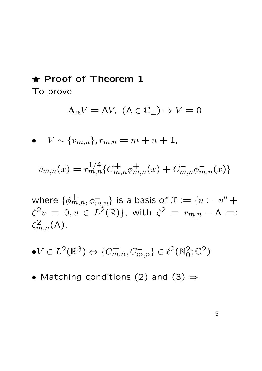## $\star$  Proof of Theorem 1

To prove

$$
\mathbf{A}_{\alpha}V = \Lambda V, \ (\Lambda \in \mathbb{C}_{\pm}) \Rightarrow V = 0
$$

•  $V \sim \{v_{m,n}\}, r_{m,n} = m+n+1,$ 

$$
v_{m,n}(x) = r_{m,n}^{1/4} \{ C_{m,n}^+ \phi_{m,n}^+(x) + C_{m,n}^- \phi_{m,n}^-(x) \}
$$

where  $\{\phi_{m,n}^+, \phi_{m,n}^-\}$  is a basis of  $\mathfrak{F}:=\{v: -v''+\}$  $\zeta^2 v\ =\ 0, v\ \in\ L^2(\mathbb R)\},$  with  $\zeta^2\ =\ r_{m,n}-\Lambda\ =:$  $\zeta_{m,n}^2(\Lambda)$ .

- $\bullet V \in L^2(\mathbb{R}^3) \Leftrightarrow \{C_{m,n}^+, C_{m,n}^-\} \in \ell^2(\mathbb{N}_0^2; \mathbb{C}^2)$
- Matching conditions (2) and (3)  $\Rightarrow$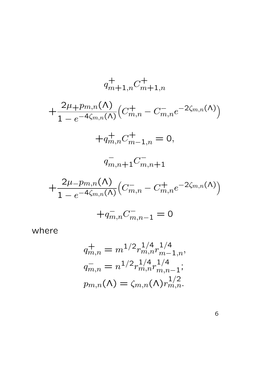$$
q_{m+1,n}^{+} C_{m+1,n}^{+}
$$
  
+ 
$$
\frac{2\mu_{+}p_{m,n}(\Lambda)}{1 - e^{-4\zeta_{m,n}(\Lambda)}} \left( C_{m,n}^{+} - C_{m,n}^{-} e^{-2\zeta_{m,n}(\Lambda)} \right)
$$
  
+ 
$$
q_{m,n}^{+} C_{m-1,n}^{+} = 0,
$$
  

$$
q_{m,n+1}^{-} C_{m,n+1}^{-}
$$
  
+ 
$$
\frac{2\mu_{-}p_{m,n}(\Lambda)}{1 - e^{-4\zeta_{m,n}(\Lambda)}} \left( C_{m,n}^{-} - C_{m,n}^{+} e^{-2\zeta_{m,n}(\Lambda)} \right)
$$
  
+ 
$$
q_{m,n}^{-} C_{m,n-1}^{-} = 0
$$

where

$$
q_{m,n}^{+} = m^{1/2} r_{m,n}^{1/4} r_{m-1,n}^{1/4},
$$
  
\n
$$
q_{m,n}^{-} = n^{1/2} r_{m,n}^{1/4} r_{m,n-1}^{1/4};
$$
  
\n
$$
p_{m,n}(\Lambda) = \zeta_{m,n}(\Lambda) r_{m,n}^{1/2}.
$$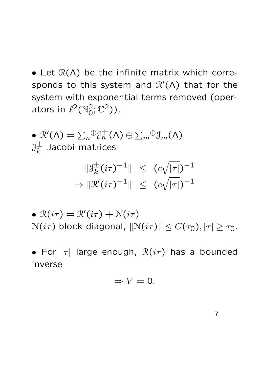• Let  $\mathcal{R}(\Lambda)$  be the infinite matrix which corresponds to this system and  $\mathcal{R}'(\Lambda)$  that for the system with exponential terms removed (operators in  $\ell^2(\mathbb{N}_0^2;\mathbb{C}^2)$ ).

\n- \n
$$
\mathcal{R}'(\Lambda) = \sum_{n} \theta \partial_{n}^{+}(\Lambda) \oplus \sum_{m} \theta \partial_{m}^{-}(\Lambda)
$$
\n
$$
\partial_{k}^{\pm} \text{ Jacobi matrices}
$$
\n
$$
\|\partial_{k}^{\pm}(i\tau)^{-1}\| \leq (c\sqrt{|\tau|})^{-1}
$$
\n
$$
\Rightarrow \|\mathcal{R}'(i\tau)^{-1}\| \leq (c\sqrt{|\tau|})^{-1}
$$
\n
\n- \n
$$
\mathcal{R}(i\tau) = \mathcal{R}'(i\tau) + \mathcal{N}(i\tau)
$$
\n
$$
\mathcal{N}(i\tau) \text{ block-diagonal, } \|\mathcal{N}(i\tau)\| \leq C(\tau_0), |\tau| \geq \tau_0.
$$
\n
\n

• For  $|\tau|$  large enough,  $\mathcal{R}(i\tau)$  has a bounded inverse

$$
\Rightarrow V=0.
$$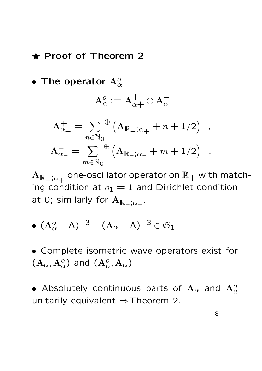#### $\star$  Proof of Theorem 2

• The operator  $\mathbf{A}_{\alpha}^o$ 

$$
\mathbf{A}_\alpha^o := \mathbf{A}_{\alpha+}^+ \oplus \mathbf{A}_{\alpha-}^-
$$

$$
\mathbf{A}_{\alpha_{+}}^{+} = \sum_{n \in \mathbb{N}_{0}} \mathcal{A}_{\mathbb{R}_{+}; \alpha_{+}} + n + 1/2 ,
$$

$$
\mathbf{A}_{\alpha_{-}}^{-} = \sum_{m \in \mathbb{N}_{0}} \mathcal{A}_{\mathbb{R}_{-}; \alpha_{-}} + m + 1/2 .
$$

 ${\rm A}_{{\mathbb R}_+;\alpha_+}$  one-oscillator operator on  ${\mathbb R}_+$  with matching condition at  $o_1 = 1$  and Dirichlet condition at 0; similarly for  $\mathbf{A}_{\mathbb{R}_-;\alpha_-}.$ 

 $\bullet \,\, (\mathrm{A \alpha-\Lambda})^{-3}-(\mathrm{A}_{\alpha}-\mathrm{A})^{-3}\in \mathfrak{S}_1$ 

• Complete isometric wave operators exist for  $(\mathbf{A}_\alpha, \mathbf{A}_\alpha^o)$  and  $(\mathbf{A}_\alpha^o, \mathbf{A}_\alpha)$ 

• Absolutely continuous parts of  $\mathbf{A}_{\alpha}$  and  $\mathbf{A}_{a}^{o}$ unitarily equivalent  $\Rightarrow$  Theorem 2.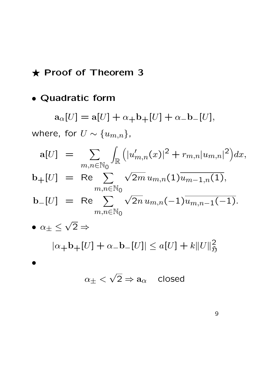## $\star$  Proof of Theorem 3

## • Quadratic form

$$
a_{\alpha}[U] = a[U] + \alpha_{+}b_{+}[U] + \alpha_{-}b_{-}[U],
$$
  
where, for  $U \sim \{u_{m,n}\},$   

$$
a[U] = \sum_{m,n \in \mathbb{N}_{0}} \int_{\mathbb{R}} \left( |u'_{m,n}(x)|^{2} + r_{m,n}|u_{m,n}|^{2} \right) dx,
$$

$$
b_{+}[U] = \text{Re} \sum_{m,n \in \mathbb{N}_{0}} \sqrt{2m} u_{m,n}(1) \overline{u_{m-1,n}(1)},
$$

$$
b_{-}[U] = \text{Re} \sum_{m,n \in \mathbb{N}_{0}} \sqrt{2n} u_{m,n}(-1) \overline{u_{m,n-1}(-1)}.
$$

$$
\bullet \alpha_{\pm} \leq \sqrt{2} \Rightarrow
$$

$$
|\alpha_{+}b_{+}[U] + \alpha_{-}b_{-}[U]| \leq a[U] + k||U||_{\mathfrak{H}}^{2}
$$

$$
\alpha_{\pm} < \sqrt{2} \Rightarrow a_{\alpha} \quad \text{closed}
$$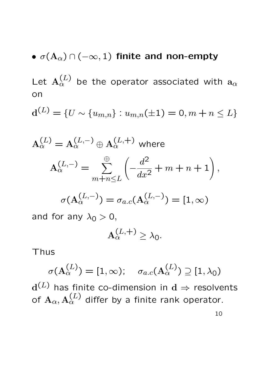# •  $\sigma(A_\alpha) \cap (-\infty, 1)$  finite and non-empty

Let  $\mathbf{A}_\alpha^{(L)}$  be the operator associated with  $\mathbf{a}_\alpha$ on

$$
\mathbf{d}^{(L)} = \{ U \sim \{u_{m,n}\} : u_{m,n}(\pm 1) = 0, m+n \leq L \}
$$

$$
A_{\alpha}^{(L)} = A_{\alpha}^{(L,-)} \oplus A_{\alpha}^{(L,+)} \text{ where}
$$

$$
A_{\alpha}^{(L,-)} = \sum_{m+n \leq L}^{\oplus} \left( -\frac{d^2}{dx^2} + m + n + 1 \right),
$$

$$
\sigma(A_{\alpha}^{(L,-)}) = \sigma_{a.c}(A_{\alpha}^{(L,-)}) = [1, \infty)
$$
and for any  $\lambda_0 > 0$ ,
$$
A_{\alpha}^{(L,+)} \geq \lambda_0.
$$

Thus

$$
\sigma(\mathrm{A}^{(L)}_{\alpha}) = [1, \infty); \quad \sigma_{a.c}(\mathrm{A}^{(L)}_{\alpha}) \supseteq [1, \lambda_0)
$$

 $\mathrm{d}^{(L)}$  has finite co-dimension in  $\mathrm{d} \Rightarrow$  resolvents of  $\mathbf{A}_\alpha, \mathbf{A}_\alpha^{(L)}$  differ by a finite rank operator.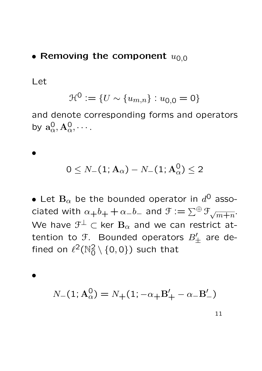#### • Removing the component  $u_{0,0}$

Let

•

$$
\mathcal{H}^0 := \{ U \sim \{u_{m,n}\} : u_{0,0} = 0 \}
$$

and denote corresponding forms and operators by  $\mathbf{a}_{\alpha}^0, \mathbf{A}_{\alpha}^0, \cdots$ 

$$
0\leq \mathit{N}_{-}(1;\mathbf{A}_{\alpha})-\mathit{N}_{-}(1;\mathbf{A}_{\alpha}^{0})\leq 2
$$

• Let  $\mathbf{B}_{\alpha}$  be the bounded operator in  $d^{\mathsf{O}}$  associated with  $\alpha_+b_+ + \alpha_-b_-$  and  $\mathfrak{F} := \sum^{\oplus} \mathfrak{F}_{\sqrt{m+n}}$ . We have  $\mathfrak{F}^{\perp} \subset$  ker  $\mathrm{\mathbf{B}}_{\alpha}$  and we can restrict attention to  $\mathfrak{F}.$  Bounded operators  $B'_{\pm}$  are defined on  $\ell^2(\mathbb{N}_0^2\setminus\{0,0\})$  such that

•

$$
N_{-}(1; \mathbf{A}_{\alpha}^{0}) = N_{+}(1; -\alpha_{+} \mathbf{B}'_{+} - \alpha_{-} \mathbf{B}'_{-})
$$